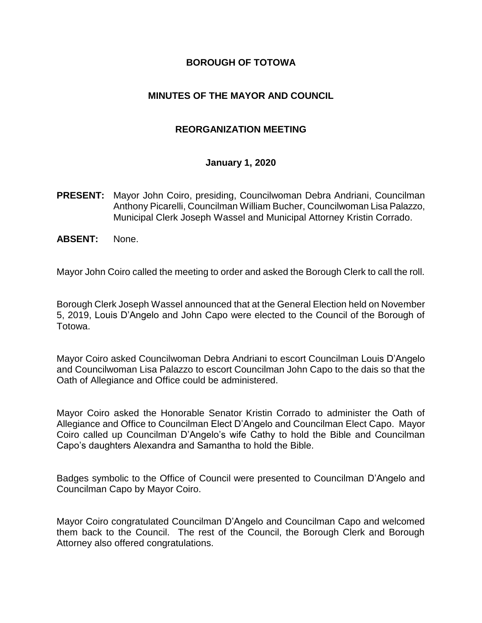#### **BOROUGH OF TOTOWA**

### **MINUTES OF THE MAYOR AND COUNCIL**

#### **REORGANIZATION MEETING**

#### **January 1, 2020**

- **PRESENT:** Mayor John Coiro, presiding, Councilwoman Debra Andriani, Councilman Anthony Picarelli, Councilman William Bucher, Councilwoman Lisa Palazzo, Municipal Clerk Joseph Wassel and Municipal Attorney Kristin Corrado.
- **ABSENT:** None.

Mayor John Coiro called the meeting to order and asked the Borough Clerk to call the roll.

Borough Clerk Joseph Wassel announced that at the General Election held on November 5, 2019, Louis D'Angelo and John Capo were elected to the Council of the Borough of Totowa.

Mayor Coiro asked Councilwoman Debra Andriani to escort Councilman Louis D'Angelo and Councilwoman Lisa Palazzo to escort Councilman John Capo to the dais so that the Oath of Allegiance and Office could be administered.

Mayor Coiro asked the Honorable Senator Kristin Corrado to administer the Oath of Allegiance and Office to Councilman Elect D'Angelo and Councilman Elect Capo. Mayor Coiro called up Councilman D'Angelo's wife Cathy to hold the Bible and Councilman Capo's daughters Alexandra and Samantha to hold the Bible.

Badges symbolic to the Office of Council were presented to Councilman D'Angelo and Councilman Capo by Mayor Coiro.

Mayor Coiro congratulated Councilman D'Angelo and Councilman Capo and welcomed them back to the Council. The rest of the Council, the Borough Clerk and Borough Attorney also offered congratulations.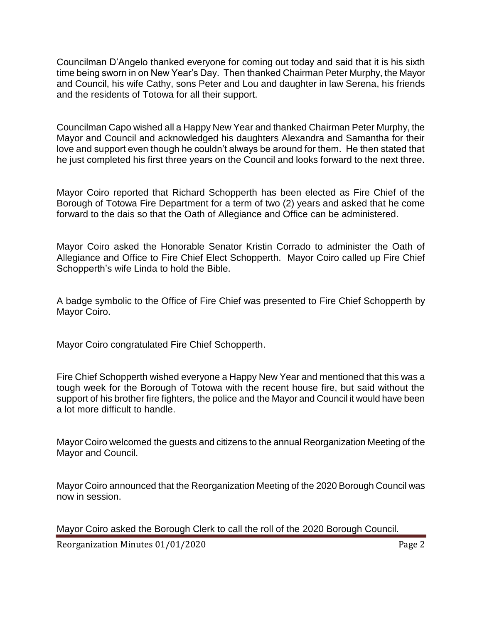Councilman D'Angelo thanked everyone for coming out today and said that it is his sixth time being sworn in on New Year's Day. Then thanked Chairman Peter Murphy, the Mayor and Council, his wife Cathy, sons Peter and Lou and daughter in law Serena, his friends and the residents of Totowa for all their support.

Councilman Capo wished all a Happy New Year and thanked Chairman Peter Murphy, the Mayor and Council and acknowledged his daughters Alexandra and Samantha for their love and support even though he couldn't always be around for them. He then stated that he just completed his first three years on the Council and looks forward to the next three.

Mayor Coiro reported that Richard Schopperth has been elected as Fire Chief of the Borough of Totowa Fire Department for a term of two (2) years and asked that he come forward to the dais so that the Oath of Allegiance and Office can be administered.

Mayor Coiro asked the Honorable Senator Kristin Corrado to administer the Oath of Allegiance and Office to Fire Chief Elect Schopperth. Mayor Coiro called up Fire Chief Schopperth's wife Linda to hold the Bible.

A badge symbolic to the Office of Fire Chief was presented to Fire Chief Schopperth by Mayor Coiro.

Mayor Coiro congratulated Fire Chief Schopperth.

Fire Chief Schopperth wished everyone a Happy New Year and mentioned that this was a tough week for the Borough of Totowa with the recent house fire, but said without the support of his brother fire fighters, the police and the Mayor and Council it would have been a lot more difficult to handle.

Mayor Coiro welcomed the guests and citizens to the annual Reorganization Meeting of the Mayor and Council.

Mayor Coiro announced that the Reorganization Meeting of the 2020 Borough Council was now in session.

Mayor Coiro asked the Borough Clerk to call the roll of the 2020 Borough Council.

Reorganization Minutes 01/01/2020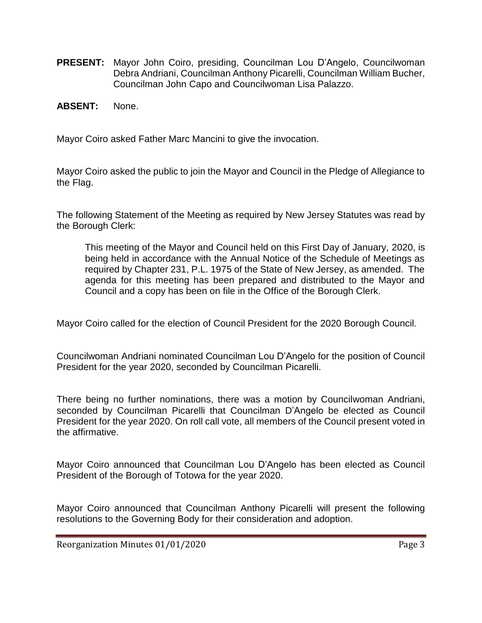- **PRESENT:** Mayor John Coiro, presiding, Councilman Lou D'Angelo, Councilwoman Debra Andriani, Councilman Anthony Picarelli, Councilman William Bucher, Councilman John Capo and Councilwoman Lisa Palazzo.
- **ABSENT:** None.

Mayor Coiro asked Father Marc Mancini to give the invocation.

Mayor Coiro asked the public to join the Mayor and Council in the Pledge of Allegiance to the Flag.

The following Statement of the Meeting as required by New Jersey Statutes was read by the Borough Clerk:

This meeting of the Mayor and Council held on this First Day of January, 2020, is being held in accordance with the Annual Notice of the Schedule of Meetings as required by Chapter 231, P.L. 1975 of the State of New Jersey, as amended. The agenda for this meeting has been prepared and distributed to the Mayor and Council and a copy has been on file in the Office of the Borough Clerk.

Mayor Coiro called for the election of Council President for the 2020 Borough Council.

Councilwoman Andriani nominated Councilman Lou D'Angelo for the position of Council President for the year 2020, seconded by Councilman Picarelli.

There being no further nominations, there was a motion by Councilwoman Andriani, seconded by Councilman Picarelli that Councilman D'Angelo be elected as Council President for the year 2020. On roll call vote, all members of the Council present voted in the affirmative.

Mayor Coiro announced that Councilman Lou D'Angelo has been elected as Council President of the Borough of Totowa for the year 2020.

Mayor Coiro announced that Councilman Anthony Picarelli will present the following resolutions to the Governing Body for their consideration and adoption.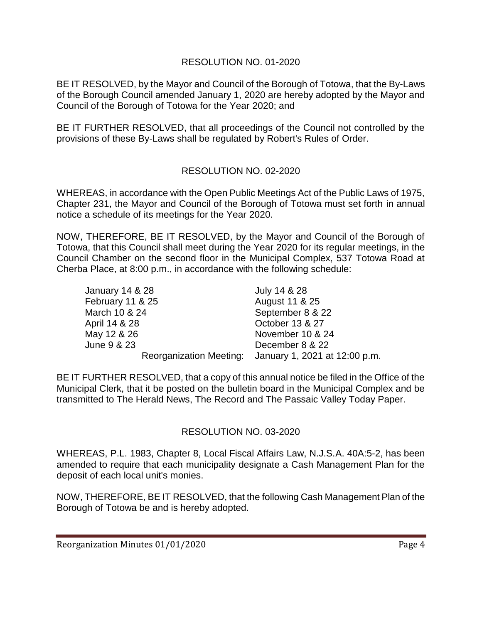# RESOLUTION NO. 01-2020

BE IT RESOLVED, by the Mayor and Council of the Borough of Totowa, that the By-Laws of the Borough Council amended January 1, 2020 are hereby adopted by the Mayor and Council of the Borough of Totowa for the Year 2020; and

BE IT FURTHER RESOLVED, that all proceedings of the Council not controlled by the provisions of these By-Laws shall be regulated by Robert's Rules of Order.

# RESOLUTION NO. 02-2020

WHEREAS, in accordance with the Open Public Meetings Act of the Public Laws of 1975, Chapter 231, the Mayor and Council of the Borough of Totowa must set forth in annual notice a schedule of its meetings for the Year 2020.

NOW, THEREFORE, BE IT RESOLVED, by the Mayor and Council of the Borough of Totowa, that this Council shall meet during the Year 2020 for its regular meetings, in the Council Chamber on the second floor in the Municipal Complex, 537 Totowa Road at Cherba Place, at 8:00 p.m., in accordance with the following schedule:

| <b>January 14 &amp; 28</b> | July 14 & 28                                          |
|----------------------------|-------------------------------------------------------|
| February 11 & 25           | August 11 & 25                                        |
| March 10 & 24              | September 8 & 22                                      |
| April 14 & 28              | October 13 & 27                                       |
| May 12 & 26                | November 10 & 24                                      |
| June 9 & 23                | December 8 & 22                                       |
|                            | Reorganization Meeting: January 1, 2021 at 12:00 p.m. |

BE IT FURTHER RESOLVED, that a copy of this annual notice be filed in the Office of the Municipal Clerk, that it be posted on the bulletin board in the Municipal Complex and be transmitted to The Herald News, The Record and The Passaic Valley Today Paper.

# RESOLUTION NO. 03-2020

WHEREAS, P.L. 1983, Chapter 8, Local Fiscal Affairs Law, N.J.S.A. 40A:5-2, has been amended to require that each municipality designate a Cash Management Plan for the deposit of each local unit's monies.

NOW, THEREFORE, BE IT RESOLVED, that the following Cash Management Plan of the Borough of Totowa be and is hereby adopted.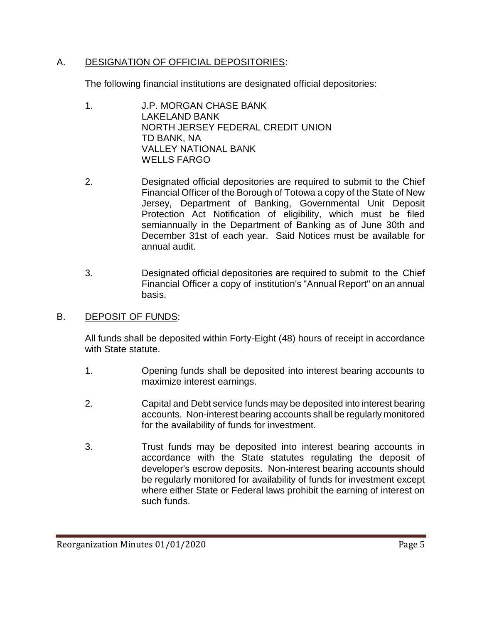# A. DESIGNATION OF OFFICIAL DEPOSITORIES:

The following financial institutions are designated official depositories:

- 1. J.P. MORGAN CHASE BANK LAKELAND BANK NORTH JERSEY FEDERAL CREDIT UNION TD BANK, NA VALLEY NATIONAL BANK WELLS FARGO
- 2. Designated official depositories are required to submit to the Chief Financial Officer of the Borough of Totowa a copy of the State of New Jersey, Department of Banking, Governmental Unit Deposit Protection Act Notification of eligibility, which must be filed semiannually in the Department of Banking as of June 30th and December 31st of each year. Said Notices must be available for annual audit.
- 3. Designated official depositories are required to submit to the Chief Financial Officer a copy of institution's "Annual Report" on an annual basis.
- B. DEPOSIT OF FUNDS:

All funds shall be deposited within Forty-Eight (48) hours of receipt in accordance with State statute.

- 1. Opening funds shall be deposited into interest bearing accounts to maximize interest earnings.
- 2. Capital and Debt service funds may be deposited into interest bearing accounts. Non-interest bearing accounts shall be regularly monitored for the availability of funds for investment.
- 3. Trust funds may be deposited into interest bearing accounts in accordance with the State statutes regulating the deposit of developer's escrow deposits. Non-interest bearing accounts should be regularly monitored for availability of funds for investment except where either State or Federal laws prohibit the earning of interest on such funds.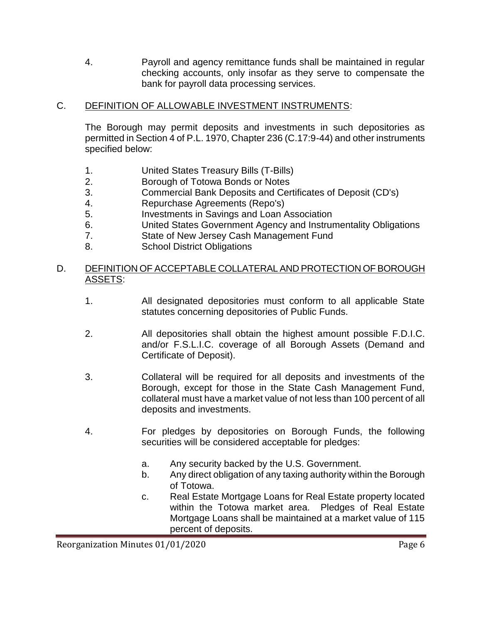4. Payroll and agency remittance funds shall be maintained in regular checking accounts, only insofar as they serve to compensate the bank for payroll data processing services.

# C. DEFINITION OF ALLOWABLE INVESTMENT INSTRUMENTS:

The Borough may permit deposits and investments in such depositories as permitted in Section 4 of P.L. 1970, Chapter 236 (C.17:9-44) and other instruments specified below:

- 1. United States Treasury Bills (T-Bills)
- 2. Borough of Totowa Bonds or Notes
- 3. Commercial Bank Deposits and Certificates of Deposit (CD's)
- 4. Repurchase Agreements (Repo's)
- 5. Investments in Savings and Loan Association
- 6. United States Government Agency and Instrumentality Obligations
- 7. State of New Jersey Cash Management Fund
- 8. School District Obligations

### D. DEFINITION OF ACCEPTABLE COLLATERAL AND PROTECTION OF BOROUGH ASSETS:

- 1. All designated depositories must conform to all applicable State statutes concerning depositories of Public Funds.
- 2. All depositories shall obtain the highest amount possible F.D.I.C. and/or F.S.L.I.C. coverage of all Borough Assets (Demand and Certificate of Deposit).
- 3. Collateral will be required for all deposits and investments of the Borough, except for those in the State Cash Management Fund, collateral must have a market value of not less than 100 percent of all deposits and investments.
- 4. For pledges by depositories on Borough Funds, the following securities will be considered acceptable for pledges:
	- a. Any security backed by the U.S. Government.
	- b. Any direct obligation of any taxing authority within the Borough of Totowa.
	- c. Real Estate Mortgage Loans for Real Estate property located within the Totowa market area. Pledges of Real Estate Mortgage Loans shall be maintained at a market value of 115 percent of deposits.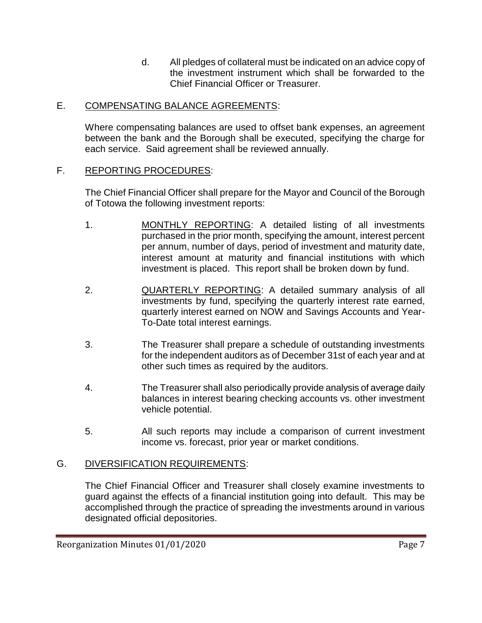d. All pledges of collateral must be indicated on an advice copy of the investment instrument which shall be forwarded to the Chief Financial Officer or Treasurer.

# E. COMPENSATING BALANCE AGREEMENTS:

Where compensating balances are used to offset bank expenses, an agreement between the bank and the Borough shall be executed, specifying the charge for each service. Said agreement shall be reviewed annually.

# F. REPORTING PROCEDURES:

The Chief Financial Officer shall prepare for the Mayor and Council of the Borough of Totowa the following investment reports:

- 1. MONTHLY REPORTING: A detailed listing of all investments purchased in the prior month, specifying the amount, interest percent per annum, number of days, period of investment and maturity date, interest amount at maturity and financial institutions with which investment is placed. This report shall be broken down by fund.
- 2. QUARTERLY REPORTING: A detailed summary analysis of all investments by fund, specifying the quarterly interest rate earned, quarterly interest earned on NOW and Savings Accounts and Year-To-Date total interest earnings.
- 3. The Treasurer shall prepare a schedule of outstanding investments for the independent auditors as of December 31st of each year and at other such times as required by the auditors.
- 4. The Treasurer shall also periodically provide analysis of average daily balances in interest bearing checking accounts vs. other investment vehicle potential.
- 5. All such reports may include a comparison of current investment income vs. forecast, prior year or market conditions.

# G. DIVERSIFICATION REQUIREMENTS:

The Chief Financial Officer and Treasurer shall closely examine investments to guard against the effects of a financial institution going into default. This may be accomplished through the practice of spreading the investments around in various designated official depositories.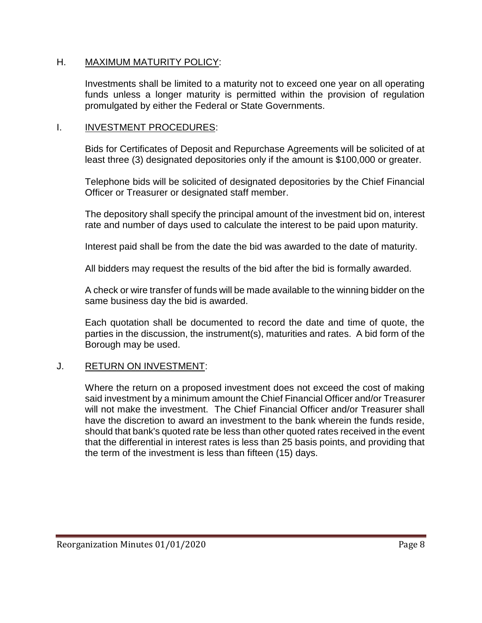#### H. MAXIMUM MATURITY POLICY:

Investments shall be limited to a maturity not to exceed one year on all operating funds unless a longer maturity is permitted within the provision of regulation promulgated by either the Federal or State Governments.

#### I. INVESTMENT PROCEDURES:

Bids for Certificates of Deposit and Repurchase Agreements will be solicited of at least three (3) designated depositories only if the amount is \$100,000 or greater.

Telephone bids will be solicited of designated depositories by the Chief Financial Officer or Treasurer or designated staff member.

The depository shall specify the principal amount of the investment bid on, interest rate and number of days used to calculate the interest to be paid upon maturity.

Interest paid shall be from the date the bid was awarded to the date of maturity.

All bidders may request the results of the bid after the bid is formally awarded.

A check or wire transfer of funds will be made available to the winning bidder on the same business day the bid is awarded.

Each quotation shall be documented to record the date and time of quote, the parties in the discussion, the instrument(s), maturities and rates. A bid form of the Borough may be used.

# J. RETURN ON INVESTMENT:

Where the return on a proposed investment does not exceed the cost of making said investment by a minimum amount the Chief Financial Officer and/or Treasurer will not make the investment. The Chief Financial Officer and/or Treasurer shall have the discretion to award an investment to the bank wherein the funds reside, should that bank's quoted rate be less than other quoted rates received in the event that the differential in interest rates is less than 25 basis points, and providing that the term of the investment is less than fifteen (15) days.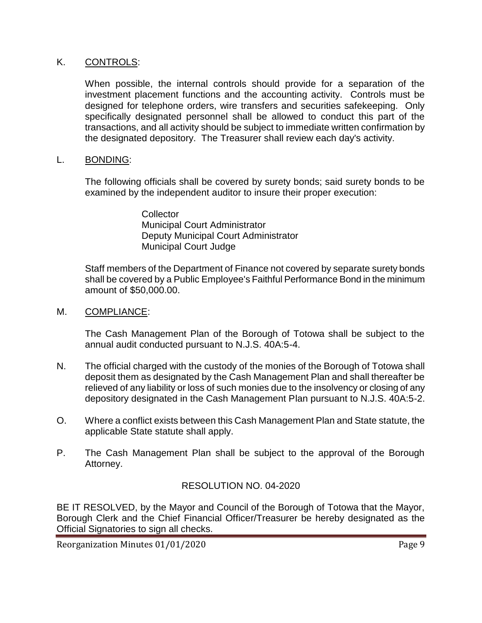#### K. CONTROLS:

When possible, the internal controls should provide for a separation of the investment placement functions and the accounting activity. Controls must be designed for telephone orders, wire transfers and securities safekeeping. Only specifically designated personnel shall be allowed to conduct this part of the transactions, and all activity should be subject to immediate written confirmation by the designated depository. The Treasurer shall review each day's activity.

#### L. BONDING:

The following officials shall be covered by surety bonds; said surety bonds to be examined by the independent auditor to insure their proper execution:

> **Collector** Municipal Court Administrator Deputy Municipal Court Administrator Municipal Court Judge

Staff members of the Department of Finance not covered by separate surety bonds shall be covered by a Public Employee's Faithful Performance Bond in the minimum amount of \$50,000.00.

#### M. COMPLIANCE:

The Cash Management Plan of the Borough of Totowa shall be subject to the annual audit conducted pursuant to N.J.S. 40A:5-4.

- N. The official charged with the custody of the monies of the Borough of Totowa shall deposit them as designated by the Cash Management Plan and shall thereafter be relieved of any liability or loss of such monies due to the insolvency or closing of any depository designated in the Cash Management Plan pursuant to N.J.S. 40A:5-2.
- O. Where a conflict exists between this Cash Management Plan and State statute, the applicable State statute shall apply.
- P. The Cash Management Plan shall be subject to the approval of the Borough Attorney.

# RESOLUTION NO. 04-2020

BE IT RESOLVED, by the Mayor and Council of the Borough of Totowa that the Mayor, Borough Clerk and the Chief Financial Officer/Treasurer be hereby designated as the Official Signatories to sign all checks.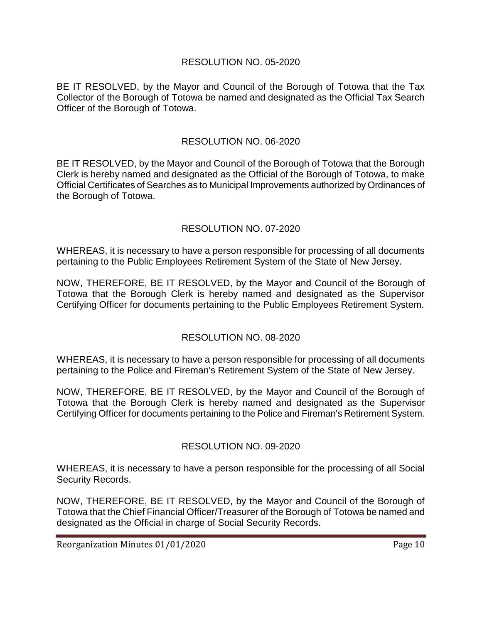# RESOLUTION NO. 05-2020

BE IT RESOLVED, by the Mayor and Council of the Borough of Totowa that the Tax Collector of the Borough of Totowa be named and designated as the Official Tax Search Officer of the Borough of Totowa.

#### RESOLUTION NO. 06-2020

BE IT RESOLVED, by the Mayor and Council of the Borough of Totowa that the Borough Clerk is hereby named and designated as the Official of the Borough of Totowa, to make Official Certificates of Searches as to Municipal Improvements authorized by Ordinances of the Borough of Totowa.

# RESOLUTION NO. 07-2020

WHEREAS, it is necessary to have a person responsible for processing of all documents pertaining to the Public Employees Retirement System of the State of New Jersey.

NOW, THEREFORE, BE IT RESOLVED, by the Mayor and Council of the Borough of Totowa that the Borough Clerk is hereby named and designated as the Supervisor Certifying Officer for documents pertaining to the Public Employees Retirement System.

# RESOLUTION NO. 08-2020

WHEREAS, it is necessary to have a person responsible for processing of all documents pertaining to the Police and Fireman's Retirement System of the State of New Jersey.

NOW, THEREFORE, BE IT RESOLVED, by the Mayor and Council of the Borough of Totowa that the Borough Clerk is hereby named and designated as the Supervisor Certifying Officer for documents pertaining to the Police and Fireman's Retirement System.

#### RESOLUTION NO. 09-2020

WHEREAS, it is necessary to have a person responsible for the processing of all Social Security Records.

NOW, THEREFORE, BE IT RESOLVED, by the Mayor and Council of the Borough of Totowa that the Chief Financial Officer/Treasurer of the Borough of Totowa be named and designated as the Official in charge of Social Security Records.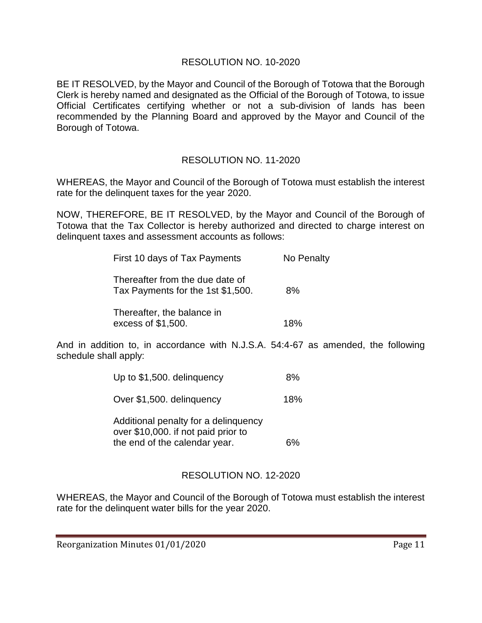### RESOLUTION NO. 10-2020

BE IT RESOLVED, by the Mayor and Council of the Borough of Totowa that the Borough Clerk is hereby named and designated as the Official of the Borough of Totowa, to issue Official Certificates certifying whether or not a sub-division of lands has been recommended by the Planning Board and approved by the Mayor and Council of the Borough of Totowa.

# RESOLUTION NO. 11-2020

WHEREAS, the Mayor and Council of the Borough of Totowa must establish the interest rate for the delinquent taxes for the year 2020.

NOW, THEREFORE, BE IT RESOLVED, by the Mayor and Council of the Borough of Totowa that the Tax Collector is hereby authorized and directed to charge interest on delinquent taxes and assessment accounts as follows:

| First 10 days of Tax Payments                                        | No Penalty |
|----------------------------------------------------------------------|------------|
| Thereafter from the due date of<br>Tax Payments for the 1st \$1,500. | 8%         |
| Thereafter, the balance in<br>excess of \$1,500.                     | 18%        |

And in addition to, in accordance with N.J.S.A. 54:4-67 as amended, the following schedule shall apply:

| Up to \$1,500. delinguency          | 8%  |
|-------------------------------------|-----|
| Over \$1,500. delinguency           | 18% |
| Monungulah e 101 vilegen legoitibha |     |

Additional penalty for a delinquency over \$10,000. if not paid prior to the end of the calendar year. 6%

# RESOLUTION NO. 12-2020

WHEREAS, the Mayor and Council of the Borough of Totowa must establish the interest rate for the delinquent water bills for the year 2020.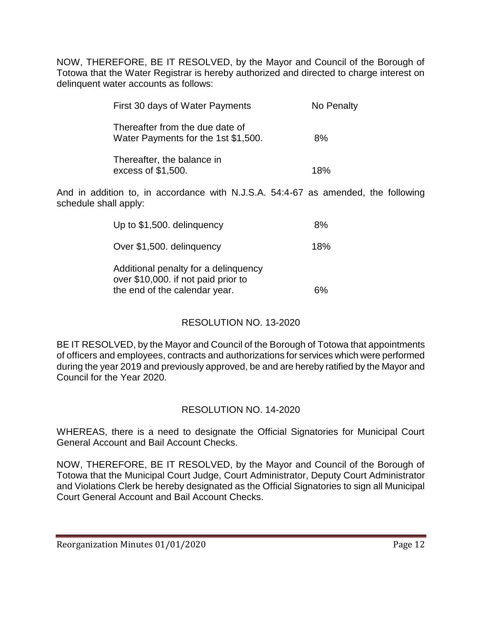NOW, THEREFORE, BE IT RESOLVED, by the Mayor and Council of the Borough of Totowa that the Water Registrar is hereby authorized and directed to charge interest on delinquent water accounts as follows:

| First 30 days of Water Payments                                        | No Penalty |
|------------------------------------------------------------------------|------------|
| Thereafter from the due date of<br>Water Payments for the 1st \$1,500. | 8%         |
| Thereafter, the balance in<br>excess of \$1,500.                       | 18%        |

And in addition to, in accordance with N.J.S.A. 54:4-67 as amended, the following schedule shall apply:

| Up to \$1,500. delinguency                                                                                   | 8%  |
|--------------------------------------------------------------------------------------------------------------|-----|
| Over \$1,500. delinguency                                                                                    | 18% |
| Additional penalty for a delinquency<br>over \$10,000. if not paid prior to<br>the end of the calendar year. | 6%  |

# RESOLUTION NO. 13-2020

BE IT RESOLVED, by the Mayor and Council of the Borough of Totowa that appointments of officers and employees, contracts and authorizations for services which were performed during the year 2019 and previously approved, be and are hereby ratified by the Mayor and Council for the Year 2020.

# RESOLUTION NO. 14-2020

WHEREAS, there is a need to designate the Official Signatories for Municipal Court General Account and Bail Account Checks.

NOW, THEREFORE, BE IT RESOLVED, by the Mayor and Council of the Borough of Totowa that the Municipal Court Judge, Court Administrator, Deputy Court Administrator and Violations Clerk be hereby designated as the Official Signatories to sign all Municipal Court General Account and Bail Account Checks.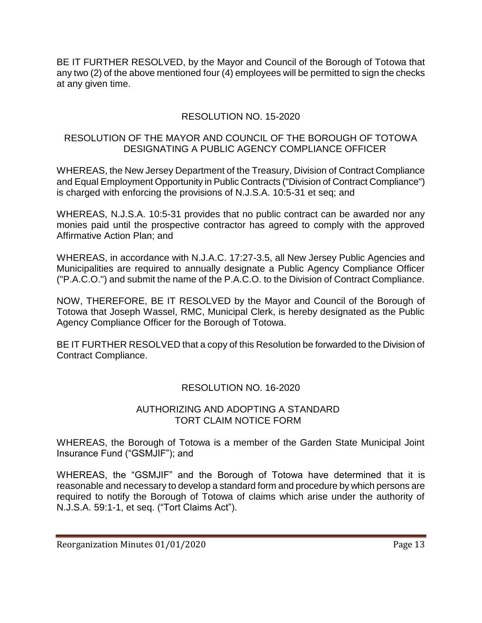BE IT FURTHER RESOLVED, by the Mayor and Council of the Borough of Totowa that any two (2) of the above mentioned four (4) employees will be permitted to sign the checks at any given time.

# RESOLUTION NO. 15-2020

#### RESOLUTION OF THE MAYOR AND COUNCIL OF THE BOROUGH OF TOTOWA DESIGNATING A PUBLIC AGENCY COMPLIANCE OFFICER

WHEREAS, the New Jersey Department of the Treasury, Division of Contract Compliance and Equal Employment Opportunity in Public Contracts ("Division of Contract Compliance") is charged with enforcing the provisions of N.J.S.A. 10:5-31 et seq; and

WHEREAS, N.J.S.A. 10:5-31 provides that no public contract can be awarded nor any monies paid until the prospective contractor has agreed to comply with the approved Affirmative Action Plan; and

WHEREAS, in accordance with N.J.A.C. 17:27-3.5, all New Jersey Public Agencies and Municipalities are required to annually designate a Public Agency Compliance Officer ("P.A.C.O.") and submit the name of the P.A.C.O. to the Division of Contract Compliance.

NOW, THEREFORE, BE IT RESOLVED by the Mayor and Council of the Borough of Totowa that Joseph Wassel, RMC, Municipal Clerk, is hereby designated as the Public Agency Compliance Officer for the Borough of Totowa.

BE IT FURTHER RESOLVED that a copy of this Resolution be forwarded to the Division of Contract Compliance.

# RESOLUTION NO. 16-2020

#### AUTHORIZING AND ADOPTING A STANDARD TORT CLAIM NOTICE FORM

WHEREAS, the Borough of Totowa is a member of the Garden State Municipal Joint Insurance Fund ("GSMJIF"); and

WHEREAS, the "GSMJIF" and the Borough of Totowa have determined that it is reasonable and necessary to develop a standard form and procedure by which persons are required to notify the Borough of Totowa of claims which arise under the authority of N.J.S.A. 59:1-1, et seq. ("Tort Claims Act").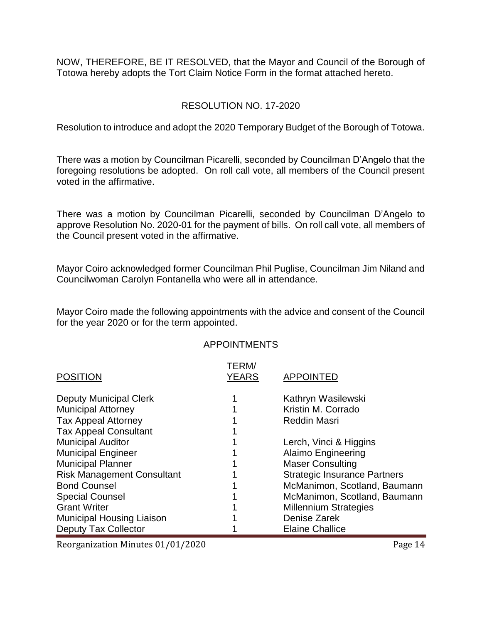NOW, THEREFORE, BE IT RESOLVED, that the Mayor and Council of the Borough of Totowa hereby adopts the Tort Claim Notice Form in the format attached hereto.

#### RESOLUTION NO. 17-2020

Resolution to introduce and adopt the 2020 Temporary Budget of the Borough of Totowa.

There was a motion by Councilman Picarelli, seconded by Councilman D'Angelo that the foregoing resolutions be adopted. On roll call vote, all members of the Council present voted in the affirmative.

There was a motion by Councilman Picarelli, seconded by Councilman D'Angelo to approve Resolution No. 2020-01 for the payment of bills. On roll call vote, all members of the Council present voted in the affirmative.

Mayor Coiro acknowledged former Councilman Phil Puglise, Councilman Jim Niland and Councilwoman Carolyn Fontanella who were all in attendance.

Mayor Coiro made the following appointments with the advice and consent of the Council for the year 2020 or for the term appointed.

#### APPOINTMENTS

|                                   | TERM/        |                                     |
|-----------------------------------|--------------|-------------------------------------|
| <b>POSITION</b>                   | <b>YEARS</b> | <b>APPOINTED</b>                    |
| <b>Deputy Municipal Clerk</b>     |              | Kathryn Wasilewski                  |
| <b>Municipal Attorney</b>         |              | Kristin M. Corrado                  |
| <b>Tax Appeal Attorney</b>        |              | <b>Reddin Masri</b>                 |
| <b>Tax Appeal Consultant</b>      |              |                                     |
| <b>Municipal Auditor</b>          |              | Lerch, Vinci & Higgins              |
| <b>Municipal Engineer</b>         |              | <b>Alaimo Engineering</b>           |
| <b>Municipal Planner</b>          |              | <b>Maser Consulting</b>             |
| <b>Risk Management Consultant</b> |              | <b>Strategic Insurance Partners</b> |
| <b>Bond Counsel</b>               |              | McManimon, Scotland, Baumann        |
| <b>Special Counsel</b>            |              | McManimon, Scotland, Baumann        |
| <b>Grant Writer</b>               |              | <b>Millennium Strategies</b>        |
| <b>Municipal Housing Liaison</b>  |              | Denise Zarek                        |
| <b>Deputy Tax Collector</b>       |              | <b>Elaine Challice</b>              |

Reorganization Minutes 01/01/2020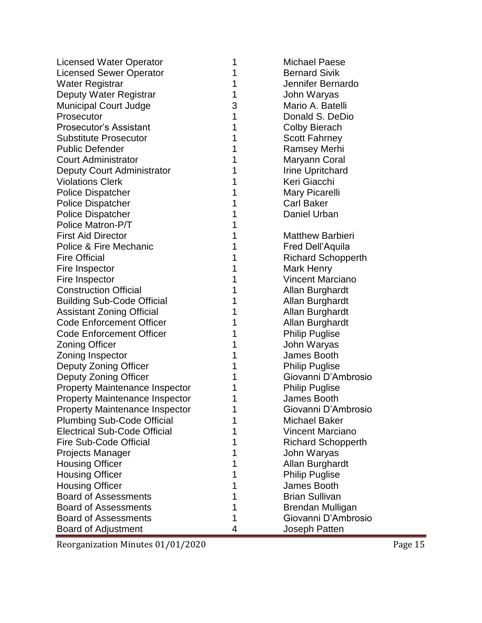| <b>Licensed Water Operator</b>        | 1 | <b>Michael Paese</b>      |
|---------------------------------------|---|---------------------------|
| <b>Licensed Sewer Operator</b>        | 1 | <b>Bernard Sivik</b>      |
| <b>Water Registrar</b>                | 1 | Jennifer Bernardo         |
| Deputy Water Registrar                | 1 | John Waryas               |
| <b>Municipal Court Judge</b>          | 3 | Mario A. Batelli          |
| Prosecutor                            | 1 | Donald S. DeDio           |
| <b>Prosecutor's Assistant</b>         | 1 | <b>Colby Bierach</b>      |
| <b>Substitute Prosecutor</b>          | 1 | <b>Scott Fahrney</b>      |
| <b>Public Defender</b>                | 1 | <b>Ramsey Merhi</b>       |
| <b>Court Administrator</b>            | 1 | Maryann Coral             |
| Deputy Court Administrator            | 1 | <b>Irine Upritchard</b>   |
| <b>Violations Clerk</b>               | 1 | Keri Giacchi              |
| <b>Police Dispatcher</b>              | 1 | Mary Picarelli            |
| <b>Police Dispatcher</b>              | 1 | <b>Carl Baker</b>         |
| <b>Police Dispatcher</b>              |   | Daniel Urban              |
| Police Matron-P/T                     |   |                           |
| <b>First Aid Director</b>             | 1 | <b>Matthew Barbieri</b>   |
| Police & Fire Mechanic                |   | <b>Fred Dell'Aquila</b>   |
| <b>Fire Official</b>                  |   | <b>Richard Schopperth</b> |
| Fire Inspector                        | 1 | Mark Henry                |
| Fire Inspector                        |   | <b>Vincent Marciano</b>   |
| <b>Construction Official</b>          | 1 | Allan Burghardt           |
| <b>Building Sub-Code Official</b>     | 1 | Allan Burghardt           |
| <b>Assistant Zoning Official</b>      | 1 | Allan Burghardt           |
| <b>Code Enforcement Officer</b>       | 1 | Allan Burghardt           |
| <b>Code Enforcement Officer</b>       | 1 | <b>Philip Puglise</b>     |
| <b>Zoning Officer</b>                 | 1 | John Waryas               |
| Zoning Inspector                      | 1 | James Booth               |
| Deputy Zoning Officer                 | 1 | <b>Philip Puglise</b>     |
| Deputy Zoning Officer                 |   | Giovanni D'Ambrosio       |
| <b>Property Maintenance Inspector</b> |   | <b>Philip Puglise</b>     |
| <b>Property Maintenance Inspector</b> | 1 | James Booth               |
| <b>Property Maintenance Inspector</b> |   | Giovanni D'Ambrosio       |
| <b>Plumbing Sub-Code Official</b>     |   | <b>Michael Baker</b>      |
| <b>Electrical Sub-Code Official</b>   |   | <b>Vincent Marciano</b>   |
| <b>Fire Sub-Code Official</b>         |   | <b>Richard Schopperth</b> |
| Projects Manager                      | 1 | John Waryas               |
| <b>Housing Officer</b>                |   | Allan Burghardt           |
| <b>Housing Officer</b>                | 1 | <b>Philip Puglise</b>     |
| <b>Housing Officer</b>                | 1 | James Booth               |
| <b>Board of Assessments</b>           |   | <b>Brian Sullivan</b>     |
| <b>Board of Assessments</b>           | 1 | Brendan Mulligan          |
| <b>Board of Assessments</b>           | 1 | Giovanni D'Ambrosio       |
| <b>Board of Adjustment</b>            | 4 | Joseph Patten             |

Reorganization Minutes 01/01/2020 Page 15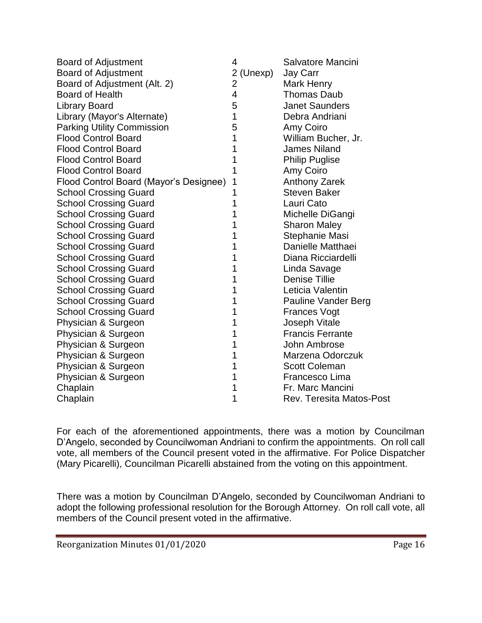| <b>Board of Adjustment</b>             | 4              | Salvatore Mancini               |
|----------------------------------------|----------------|---------------------------------|
| <b>Board of Adjustment</b>             | 2 (Unexp)      | Jay Carr                        |
| Board of Adjustment (Alt. 2)           | $\overline{2}$ | <b>Mark Henry</b>               |
| <b>Board of Health</b>                 | $\overline{4}$ | <b>Thomas Daub</b>              |
| <b>Library Board</b>                   | 5              | <b>Janet Saunders</b>           |
| Library (Mayor's Alternate)            | 1              | Debra Andriani                  |
| <b>Parking Utility Commission</b>      | 5              | Amy Coiro                       |
| <b>Flood Control Board</b>             | 1              | William Bucher, Jr.             |
| <b>Flood Control Board</b>             | 1              | <b>James Niland</b>             |
| <b>Flood Control Board</b>             | 1              | <b>Philip Puglise</b>           |
| <b>Flood Control Board</b>             | 1              | Amy Coiro                       |
| Flood Control Board (Mayor's Designee) | 1              | <b>Anthony Zarek</b>            |
| <b>School Crossing Guard</b>           | 1              | <b>Steven Baker</b>             |
| <b>School Crossing Guard</b>           | 1              | Lauri Cato                      |
| <b>School Crossing Guard</b>           | 1              | Michelle DiGangi                |
| <b>School Crossing Guard</b>           | 1              | <b>Sharon Maley</b>             |
| <b>School Crossing Guard</b>           | 1              | Stephanie Masi                  |
| <b>School Crossing Guard</b>           | 1              | Danielle Matthaei               |
| <b>School Crossing Guard</b>           | 1              | Diana Ricciardelli              |
| <b>School Crossing Guard</b>           | 1              | Linda Savage                    |
| <b>School Crossing Guard</b>           | 1              | <b>Denise Tillie</b>            |
| <b>School Crossing Guard</b>           | 1              | Leticia Valentin                |
| <b>School Crossing Guard</b>           | 1              | <b>Pauline Vander Berg</b>      |
| <b>School Crossing Guard</b>           | 1              | <b>Frances Vogt</b>             |
| Physician & Surgeon                    | 1              | <b>Joseph Vitale</b>            |
| Physician & Surgeon                    | 1              | <b>Francis Ferrante</b>         |
| Physician & Surgeon                    | 1              | John Ambrose                    |
| Physician & Surgeon                    | 1              | Marzena Odorczuk                |
| Physician & Surgeon                    | 1              | <b>Scott Coleman</b>            |
| Physician & Surgeon                    | 1              | Francesco Lima                  |
| Chaplain                               | 1              | Fr. Marc Mancini                |
| Chaplain                               | 1              | <b>Rev. Teresita Matos-Post</b> |

For each of the aforementioned appointments, there was a motion by Councilman D'Angelo, seconded by Councilwoman Andriani to confirm the appointments. On roll call vote, all members of the Council present voted in the affirmative. For Police Dispatcher (Mary Picarelli), Councilman Picarelli abstained from the voting on this appointment.

There was a motion by Councilman D'Angelo, seconded by Councilwoman Andriani to adopt the following professional resolution for the Borough Attorney. On roll call vote, all members of the Council present voted in the affirmative.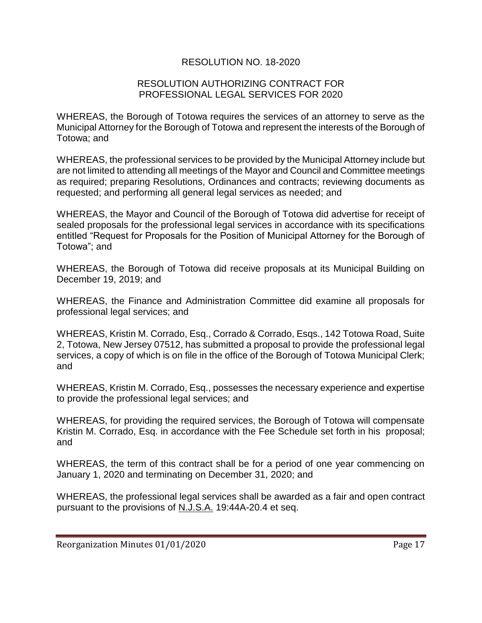# RESOLUTION NO. 18-2020

#### RESOLUTION AUTHORIZING CONTRACT FOR PROFESSIONAL LEGAL SERVICES FOR 2020

WHEREAS, the Borough of Totowa requires the services of an attorney to serve as the Municipal Attorney for the Borough of Totowa and represent the interests of the Borough of Totowa; and

WHEREAS, the professional services to be provided by the Municipal Attorney include but are not limited to attending all meetings of the Mayor and Council and Committee meetings as required; preparing Resolutions, Ordinances and contracts; reviewing documents as requested; and performing all general legal services as needed; and

WHEREAS, the Mayor and Council of the Borough of Totowa did advertise for receipt of sealed proposals for the professional legal services in accordance with its specifications entitled "Request for Proposals for the Position of Municipal Attorney for the Borough of Totowa"; and

WHEREAS, the Borough of Totowa did receive proposals at its Municipal Building on December 19, 2019; and

WHEREAS, the Finance and Administration Committee did examine all proposals for professional legal services; and

WHEREAS, Kristin M. Corrado, Esq., Corrado & Corrado, Esqs., 142 Totowa Road, Suite 2, Totowa, New Jersey 07512, has submitted a proposal to provide the professional legal services, a copy of which is on file in the office of the Borough of Totowa Municipal Clerk; and

WHEREAS, Kristin M. Corrado, Esq., possesses the necessary experience and expertise to provide the professional legal services; and

WHEREAS, for providing the required services, the Borough of Totowa will compensate Kristin M. Corrado, Esq. in accordance with the Fee Schedule set forth in his proposal; and

WHEREAS, the term of this contract shall be for a period of one year commencing on January 1, 2020 and terminating on December 31, 2020; and

WHEREAS, the professional legal services shall be awarded as a fair and open contract pursuant to the provisions of N.J.S.A. 19:44A-20.4 et seq.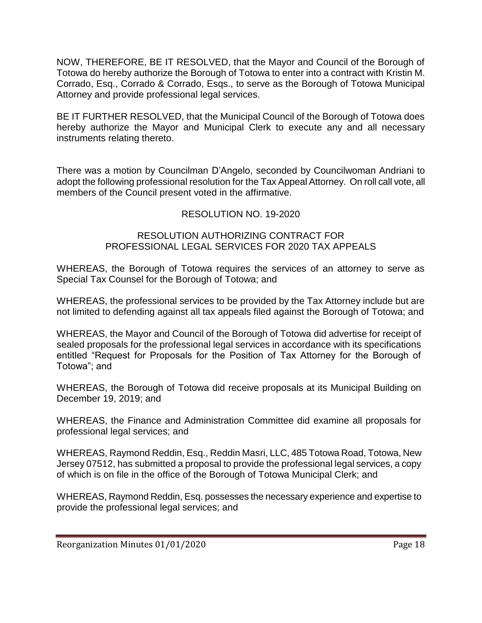NOW, THEREFORE, BE IT RESOLVED, that the Mayor and Council of the Borough of Totowa do hereby authorize the Borough of Totowa to enter into a contract with Kristin M. Corrado, Esq., Corrado & Corrado, Esqs., to serve as the Borough of Totowa Municipal Attorney and provide professional legal services.

BE IT FURTHER RESOLVED, that the Municipal Council of the Borough of Totowa does hereby authorize the Mayor and Municipal Clerk to execute any and all necessary instruments relating thereto.

There was a motion by Councilman D'Angelo, seconded by Councilwoman Andriani to adopt the following professional resolution for the Tax Appeal Attorney. On roll call vote, all members of the Council present voted in the affirmative.

# RESOLUTION NO. 19-2020

#### RESOLUTION AUTHORIZING CONTRACT FOR PROFESSIONAL LEGAL SERVICES FOR 2020 TAX APPEALS

WHEREAS, the Borough of Totowa requires the services of an attorney to serve as Special Tax Counsel for the Borough of Totowa; and

WHEREAS, the professional services to be provided by the Tax Attorney include but are not limited to defending against all tax appeals filed against the Borough of Totowa; and

WHEREAS, the Mayor and Council of the Borough of Totowa did advertise for receipt of sealed proposals for the professional legal services in accordance with its specifications entitled "Request for Proposals for the Position of Tax Attorney for the Borough of Totowa"; and

WHEREAS, the Borough of Totowa did receive proposals at its Municipal Building on December 19, 2019; and

WHEREAS, the Finance and Administration Committee did examine all proposals for professional legal services; and

WHEREAS, Raymond Reddin, Esq., Reddin Masri, LLC, 485 Totowa Road, Totowa, New Jersey 07512, has submitted a proposal to provide the professional legal services, a copy of which is on file in the office of the Borough of Totowa Municipal Clerk; and

WHEREAS, Raymond Reddin, Esq. possesses the necessary experience and expertise to provide the professional legal services; and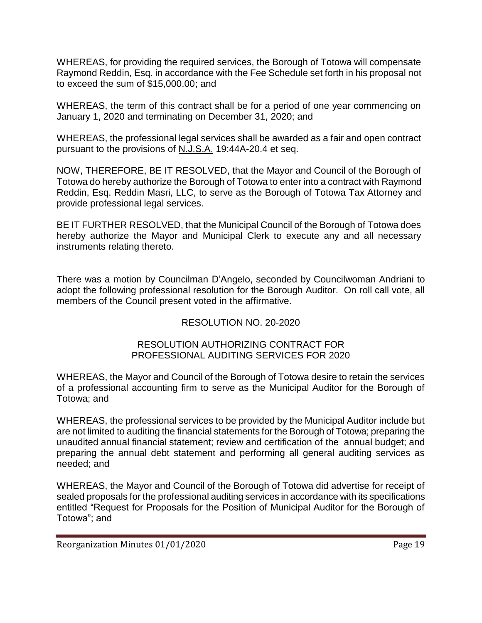WHEREAS, for providing the required services, the Borough of Totowa will compensate Raymond Reddin, Esq. in accordance with the Fee Schedule set forth in his proposal not to exceed the sum of \$15,000.00; and

WHEREAS, the term of this contract shall be for a period of one year commencing on January 1, 2020 and terminating on December 31, 2020; and

WHEREAS, the professional legal services shall be awarded as a fair and open contract pursuant to the provisions of N.J.S.A. 19:44A-20.4 et seq.

NOW, THEREFORE, BE IT RESOLVED, that the Mayor and Council of the Borough of Totowa do hereby authorize the Borough of Totowa to enter into a contract with Raymond Reddin, Esq. Reddin Masri, LLC, to serve as the Borough of Totowa Tax Attorney and provide professional legal services.

BE IT FURTHER RESOLVED, that the Municipal Council of the Borough of Totowa does hereby authorize the Mayor and Municipal Clerk to execute any and all necessary instruments relating thereto.

There was a motion by Councilman D'Angelo, seconded by Councilwoman Andriani to adopt the following professional resolution for the Borough Auditor. On roll call vote, all members of the Council present voted in the affirmative.

# RESOLUTION NO. 20-2020

#### RESOLUTION AUTHORIZING CONTRACT FOR PROFESSIONAL AUDITING SERVICES FOR 2020

WHEREAS, the Mayor and Council of the Borough of Totowa desire to retain the services of a professional accounting firm to serve as the Municipal Auditor for the Borough of Totowa; and

WHEREAS, the professional services to be provided by the Municipal Auditor include but are not limited to auditing the financial statements for the Borough of Totowa; preparing the unaudited annual financial statement; review and certification of the annual budget; and preparing the annual debt statement and performing all general auditing services as needed; and

WHEREAS, the Mayor and Council of the Borough of Totowa did advertise for receipt of sealed proposals for the professional auditing services in accordance with its specifications entitled "Request for Proposals for the Position of Municipal Auditor for the Borough of Totowa"; and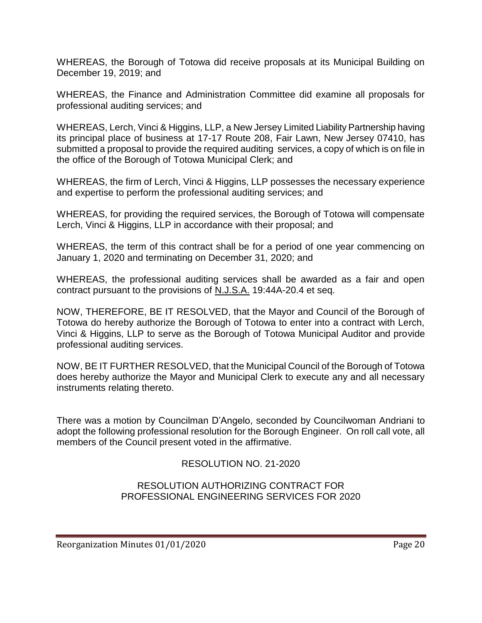WHEREAS, the Borough of Totowa did receive proposals at its Municipal Building on December 19, 2019; and

WHEREAS, the Finance and Administration Committee did examine all proposals for professional auditing services; and

WHEREAS, Lerch, Vinci & Higgins, LLP, a New Jersey Limited Liability Partnership having its principal place of business at 17-17 Route 208, Fair Lawn, New Jersey 07410, has submitted a proposal to provide the required auditing services, a copy of which is on file in the office of the Borough of Totowa Municipal Clerk; and

WHEREAS, the firm of Lerch, Vinci & Higgins, LLP possesses the necessary experience and expertise to perform the professional auditing services; and

WHEREAS, for providing the required services, the Borough of Totowa will compensate Lerch, Vinci & Higgins, LLP in accordance with their proposal; and

WHEREAS, the term of this contract shall be for a period of one year commencing on January 1, 2020 and terminating on December 31, 2020; and

WHEREAS, the professional auditing services shall be awarded as a fair and open contract pursuant to the provisions of N.J.S.A. 19:44A-20.4 et seq.

NOW, THEREFORE, BE IT RESOLVED, that the Mayor and Council of the Borough of Totowa do hereby authorize the Borough of Totowa to enter into a contract with Lerch, Vinci & Higgins, LLP to serve as the Borough of Totowa Municipal Auditor and provide professional auditing services.

NOW, BE IT FURTHER RESOLVED, that the Municipal Council of the Borough of Totowa does hereby authorize the Mayor and Municipal Clerk to execute any and all necessary instruments relating thereto.

There was a motion by Councilman D'Angelo, seconded by Councilwoman Andriani to adopt the following professional resolution for the Borough Engineer. On roll call vote, all members of the Council present voted in the affirmative.

# RESOLUTION NO. 21-2020

RESOLUTION AUTHORIZING CONTRACT FOR PROFESSIONAL ENGINEERING SERVICES FOR 2020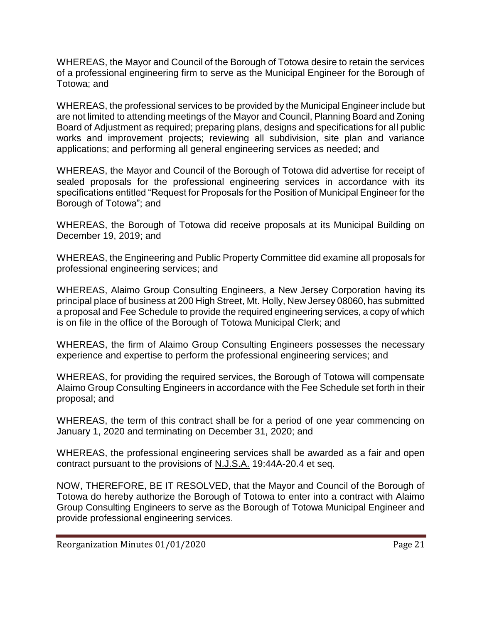WHEREAS, the Mayor and Council of the Borough of Totowa desire to retain the services of a professional engineering firm to serve as the Municipal Engineer for the Borough of Totowa; and

WHEREAS, the professional services to be provided by the Municipal Engineer include but are not limited to attending meetings of the Mayor and Council, Planning Board and Zoning Board of Adjustment as required; preparing plans, designs and specifications for all public works and improvement projects; reviewing all subdivision, site plan and variance applications; and performing all general engineering services as needed; and

WHEREAS, the Mayor and Council of the Borough of Totowa did advertise for receipt of sealed proposals for the professional engineering services in accordance with its specifications entitled "Request for Proposals for the Position of Municipal Engineer for the Borough of Totowa"; and

WHEREAS, the Borough of Totowa did receive proposals at its Municipal Building on December 19, 2019; and

WHEREAS, the Engineering and Public Property Committee did examine all proposals for professional engineering services; and

WHEREAS, Alaimo Group Consulting Engineers, a New Jersey Corporation having its principal place of business at 200 High Street, Mt. Holly, New Jersey 08060, has submitted a proposal and Fee Schedule to provide the required engineering services, a copy of which is on file in the office of the Borough of Totowa Municipal Clerk; and

WHEREAS, the firm of Alaimo Group Consulting Engineers possesses the necessary experience and expertise to perform the professional engineering services; and

WHEREAS, for providing the required services, the Borough of Totowa will compensate Alaimo Group Consulting Engineers in accordance with the Fee Schedule set forth in their proposal; and

WHEREAS, the term of this contract shall be for a period of one year commencing on January 1, 2020 and terminating on December 31, 2020; and

WHEREAS, the professional engineering services shall be awarded as a fair and open contract pursuant to the provisions of N.J.S.A. 19:44A-20.4 et seq.

NOW, THEREFORE, BE IT RESOLVED, that the Mayor and Council of the Borough of Totowa do hereby authorize the Borough of Totowa to enter into a contract with Alaimo Group Consulting Engineers to serve as the Borough of Totowa Municipal Engineer and provide professional engineering services.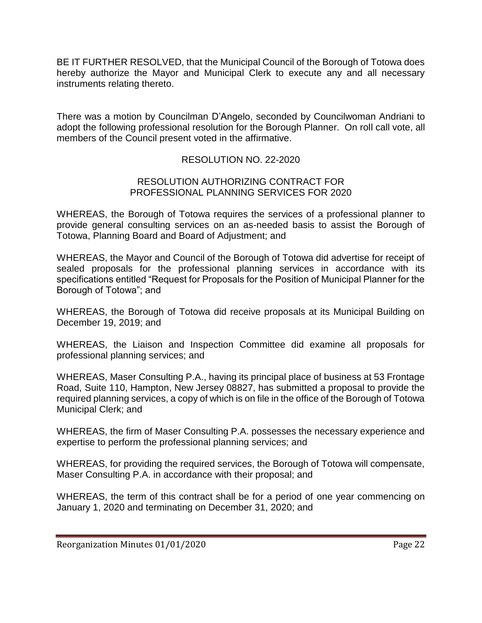BE IT FURTHER RESOLVED, that the Municipal Council of the Borough of Totowa does hereby authorize the Mayor and Municipal Clerk to execute any and all necessary instruments relating thereto.

There was a motion by Councilman D'Angelo, seconded by Councilwoman Andriani to adopt the following professional resolution for the Borough Planner. On roll call vote, all members of the Council present voted in the affirmative.

# RESOLUTION NO. 22-2020

#### RESOLUTION AUTHORIZING CONTRACT FOR PROFESSIONAL PLANNING SERVICES FOR 2020

WHEREAS, the Borough of Totowa requires the services of a professional planner to provide general consulting services on an as-needed basis to assist the Borough of Totowa, Planning Board and Board of Adjustment; and

WHEREAS, the Mayor and Council of the Borough of Totowa did advertise for receipt of sealed proposals for the professional planning services in accordance with its specifications entitled "Request for Proposals for the Position of Municipal Planner for the Borough of Totowa"; and

WHEREAS, the Borough of Totowa did receive proposals at its Municipal Building on December 19, 2019; and

WHEREAS, the Liaison and Inspection Committee did examine all proposals for professional planning services; and

WHEREAS, Maser Consulting P.A., having its principal place of business at 53 Frontage Road, Suite 110, Hampton, New Jersey 08827, has submitted a proposal to provide the required planning services, a copy of which is on file in the office of the Borough of Totowa Municipal Clerk; and

WHEREAS, the firm of Maser Consulting P.A. possesses the necessary experience and expertise to perform the professional planning services; and

WHEREAS, for providing the required services, the Borough of Totowa will compensate, Maser Consulting P.A. in accordance with their proposal; and

WHEREAS, the term of this contract shall be for a period of one year commencing on January 1, 2020 and terminating on December 31, 2020; and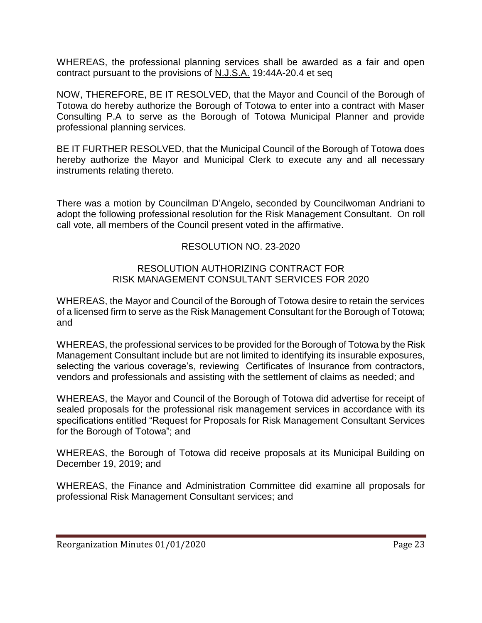WHEREAS, the professional planning services shall be awarded as a fair and open contract pursuant to the provisions of N.J.S.A. 19:44A-20.4 et seq

NOW, THEREFORE, BE IT RESOLVED, that the Mayor and Council of the Borough of Totowa do hereby authorize the Borough of Totowa to enter into a contract with Maser Consulting P.A to serve as the Borough of Totowa Municipal Planner and provide professional planning services.

BE IT FURTHER RESOLVED, that the Municipal Council of the Borough of Totowa does hereby authorize the Mayor and Municipal Clerk to execute any and all necessary instruments relating thereto.

There was a motion by Councilman D'Angelo, seconded by Councilwoman Andriani to adopt the following professional resolution for the Risk Management Consultant. On roll call vote, all members of the Council present voted in the affirmative.

# RESOLUTION NO. 23-2020

#### RESOLUTION AUTHORIZING CONTRACT FOR RISK MANAGEMENT CONSULTANT SERVICES FOR 2020

WHEREAS, the Mayor and Council of the Borough of Totowa desire to retain the services of a licensed firm to serve as the Risk Management Consultant for the Borough of Totowa; and

WHEREAS, the professional services to be provided for the Borough of Totowa by the Risk Management Consultant include but are not limited to identifying its insurable exposures, selecting the various coverage's, reviewing Certificates of Insurance from contractors, vendors and professionals and assisting with the settlement of claims as needed; and

WHEREAS, the Mayor and Council of the Borough of Totowa did advertise for receipt of sealed proposals for the professional risk management services in accordance with its specifications entitled "Request for Proposals for Risk Management Consultant Services for the Borough of Totowa"; and

WHEREAS, the Borough of Totowa did receive proposals at its Municipal Building on December 19, 2019; and

WHEREAS, the Finance and Administration Committee did examine all proposals for professional Risk Management Consultant services; and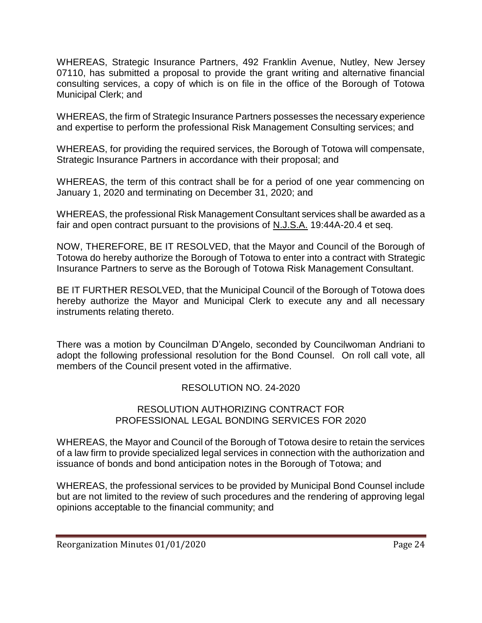WHEREAS, Strategic Insurance Partners, 492 Franklin Avenue, Nutley, New Jersey 07110, has submitted a proposal to provide the grant writing and alternative financial consulting services, a copy of which is on file in the office of the Borough of Totowa Municipal Clerk; and

WHEREAS, the firm of Strategic Insurance Partners possesses the necessary experience and expertise to perform the professional Risk Management Consulting services; and

WHEREAS, for providing the required services, the Borough of Totowa will compensate, Strategic Insurance Partners in accordance with their proposal; and

WHEREAS, the term of this contract shall be for a period of one year commencing on January 1, 2020 and terminating on December 31, 2020; and

WHEREAS, the professional Risk Management Consultant services shall be awarded as a fair and open contract pursuant to the provisions of N.J.S.A. 19:44A-20.4 et seq.

NOW, THEREFORE, BE IT RESOLVED, that the Mayor and Council of the Borough of Totowa do hereby authorize the Borough of Totowa to enter into a contract with Strategic Insurance Partners to serve as the Borough of Totowa Risk Management Consultant.

BE IT FURTHER RESOLVED, that the Municipal Council of the Borough of Totowa does hereby authorize the Mayor and Municipal Clerk to execute any and all necessary instruments relating thereto.

There was a motion by Councilman D'Angelo, seconded by Councilwoman Andriani to adopt the following professional resolution for the Bond Counsel. On roll call vote, all members of the Council present voted in the affirmative.

# RESOLUTION NO. 24-2020

#### RESOLUTION AUTHORIZING CONTRACT FOR PROFESSIONAL LEGAL BONDING SERVICES FOR 2020

WHEREAS, the Mayor and Council of the Borough of Totowa desire to retain the services of a law firm to provide specialized legal services in connection with the authorization and issuance of bonds and bond anticipation notes in the Borough of Totowa; and

WHEREAS, the professional services to be provided by Municipal Bond Counsel include but are not limited to the review of such procedures and the rendering of approving legal opinions acceptable to the financial community; and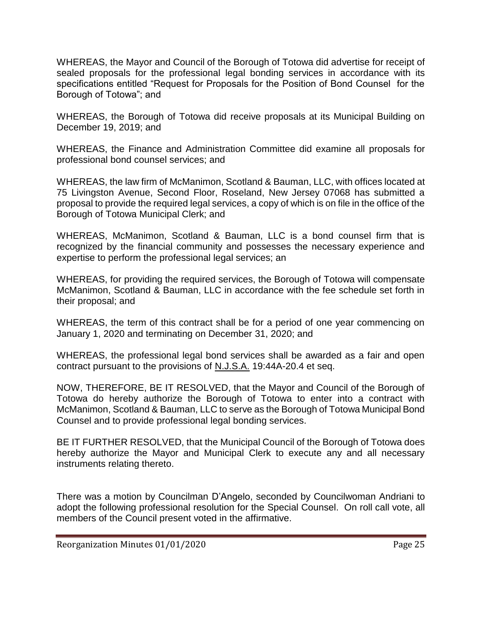WHEREAS, the Mayor and Council of the Borough of Totowa did advertise for receipt of sealed proposals for the professional legal bonding services in accordance with its specifications entitled "Request for Proposals for the Position of Bond Counsel for the Borough of Totowa"; and

WHEREAS, the Borough of Totowa did receive proposals at its Municipal Building on December 19, 2019; and

WHEREAS, the Finance and Administration Committee did examine all proposals for professional bond counsel services; and

WHEREAS, the law firm of McManimon, Scotland & Bauman, LLC, with offices located at 75 Livingston Avenue, Second Floor, Roseland, New Jersey 07068 has submitted a proposal to provide the required legal services, a copy of which is on file in the office of the Borough of Totowa Municipal Clerk; and

WHEREAS, McManimon, Scotland & Bauman, LLC is a bond counsel firm that is recognized by the financial community and possesses the necessary experience and expertise to perform the professional legal services; an

WHEREAS, for providing the required services, the Borough of Totowa will compensate McManimon, Scotland & Bauman, LLC in accordance with the fee schedule set forth in their proposal; and

WHEREAS, the term of this contract shall be for a period of one year commencing on January 1, 2020 and terminating on December 31, 2020; and

WHEREAS, the professional legal bond services shall be awarded as a fair and open contract pursuant to the provisions of N.J.S.A. 19:44A-20.4 et seq.

NOW, THEREFORE, BE IT RESOLVED, that the Mayor and Council of the Borough of Totowa do hereby authorize the Borough of Totowa to enter into a contract with McManimon, Scotland & Bauman, LLC to serve as the Borough of Totowa Municipal Bond Counsel and to provide professional legal bonding services.

BE IT FURTHER RESOLVED, that the Municipal Council of the Borough of Totowa does hereby authorize the Mayor and Municipal Clerk to execute any and all necessary instruments relating thereto.

There was a motion by Councilman D'Angelo, seconded by Councilwoman Andriani to adopt the following professional resolution for the Special Counsel. On roll call vote, all members of the Council present voted in the affirmative.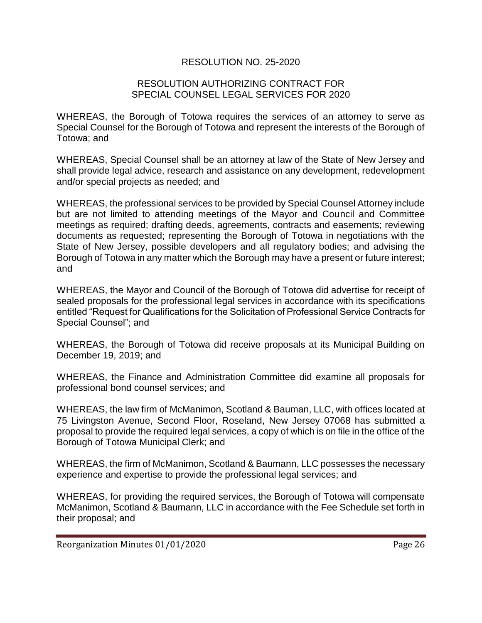# RESOLUTION NO. 25-2020

#### RESOLUTION AUTHORIZING CONTRACT FOR SPECIAL COUNSEL LEGAL SERVICES FOR 2020

WHEREAS, the Borough of Totowa requires the services of an attorney to serve as Special Counsel for the Borough of Totowa and represent the interests of the Borough of Totowa; and

WHEREAS, Special Counsel shall be an attorney at law of the State of New Jersey and shall provide legal advice, research and assistance on any development, redevelopment and/or special projects as needed; and

WHEREAS, the professional services to be provided by Special Counsel Attorney include but are not limited to attending meetings of the Mayor and Council and Committee meetings as required; drafting deeds, agreements, contracts and easements; reviewing documents as requested; representing the Borough of Totowa in negotiations with the State of New Jersey, possible developers and all regulatory bodies; and advising the Borough of Totowa in any matter which the Borough may have a present or future interest; and

WHEREAS, the Mayor and Council of the Borough of Totowa did advertise for receipt of sealed proposals for the professional legal services in accordance with its specifications entitled "Request for Qualifications for the Solicitation of Professional Service Contracts for Special Counsel"; and

WHEREAS, the Borough of Totowa did receive proposals at its Municipal Building on December 19, 2019; and

WHEREAS, the Finance and Administration Committee did examine all proposals for professional bond counsel services; and

WHEREAS, the law firm of McManimon, Scotland & Bauman, LLC, with offices located at 75 Livingston Avenue, Second Floor, Roseland, New Jersey 07068 has submitted a proposal to provide the required legal services, a copy of which is on file in the office of the Borough of Totowa Municipal Clerk; and

WHEREAS, the firm of McManimon, Scotland & Baumann, LLC possesses the necessary experience and expertise to provide the professional legal services; and

WHEREAS, for providing the required services, the Borough of Totowa will compensate McManimon, Scotland & Baumann, LLC in accordance with the Fee Schedule set forth in their proposal; and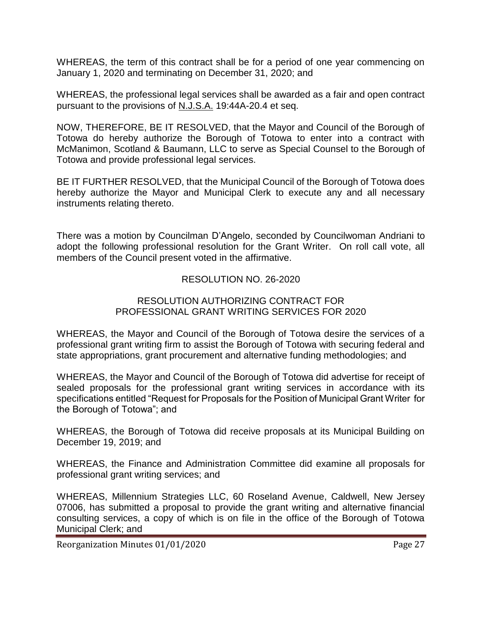WHEREAS, the term of this contract shall be for a period of one year commencing on January 1, 2020 and terminating on December 31, 2020; and

WHEREAS, the professional legal services shall be awarded as a fair and open contract pursuant to the provisions of N.J.S.A. 19:44A-20.4 et seq.

NOW, THEREFORE, BE IT RESOLVED, that the Mayor and Council of the Borough of Totowa do hereby authorize the Borough of Totowa to enter into a contract with McManimon, Scotland & Baumann, LLC to serve as Special Counsel to the Borough of Totowa and provide professional legal services.

BE IT FURTHER RESOLVED, that the Municipal Council of the Borough of Totowa does hereby authorize the Mayor and Municipal Clerk to execute any and all necessary instruments relating thereto.

There was a motion by Councilman D'Angelo, seconded by Councilwoman Andriani to adopt the following professional resolution for the Grant Writer. On roll call vote, all members of the Council present voted in the affirmative.

# RESOLUTION NO. 26-2020

#### RESOLUTION AUTHORIZING CONTRACT FOR PROFESSIONAL GRANT WRITING SERVICES FOR 2020

WHEREAS, the Mayor and Council of the Borough of Totowa desire the services of a professional grant writing firm to assist the Borough of Totowa with securing federal and state appropriations, grant procurement and alternative funding methodologies; and

WHEREAS, the Mayor and Council of the Borough of Totowa did advertise for receipt of sealed proposals for the professional grant writing services in accordance with its specifications entitled "Request for Proposals for the Position of Municipal Grant Writer for the Borough of Totowa"; and

WHEREAS, the Borough of Totowa did receive proposals at its Municipal Building on December 19, 2019; and

WHEREAS, the Finance and Administration Committee did examine all proposals for professional grant writing services; and

WHEREAS, Millennium Strategies LLC, 60 Roseland Avenue, Caldwell, New Jersey 07006, has submitted a proposal to provide the grant writing and alternative financial consulting services, a copy of which is on file in the office of the Borough of Totowa Municipal Clerk; and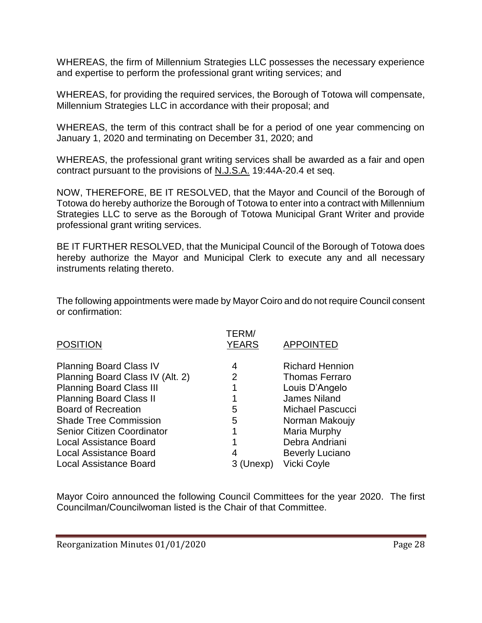WHEREAS, the firm of Millennium Strategies LLC possesses the necessary experience and expertise to perform the professional grant writing services; and

WHEREAS, for providing the required services, the Borough of Totowa will compensate, Millennium Strategies LLC in accordance with their proposal; and

WHEREAS, the term of this contract shall be for a period of one year commencing on January 1, 2020 and terminating on December 31, 2020; and

WHEREAS, the professional grant writing services shall be awarded as a fair and open contract pursuant to the provisions of N.J.S.A. 19:44A-20.4 et seq.

NOW, THEREFORE, BE IT RESOLVED, that the Mayor and Council of the Borough of Totowa do hereby authorize the Borough of Totowa to enter into a contract with Millennium Strategies LLC to serve as the Borough of Totowa Municipal Grant Writer and provide professional grant writing services.

BE IT FURTHER RESOLVED, that the Municipal Council of the Borough of Totowa does hereby authorize the Mayor and Municipal Clerk to execute any and all necessary instruments relating thereto.

The following appointments were made by Mayor Coiro and do not require Council consent or confirmation:

| <b>POSITION</b>                   | TERM/<br><b>YEARS</b> | <b>APPOINTED</b>        |
|-----------------------------------|-----------------------|-------------------------|
| <b>Planning Board Class IV</b>    | 4                     | <b>Richard Hennion</b>  |
| Planning Board Class IV (Alt. 2)  | 2                     | <b>Thomas Ferraro</b>   |
| <b>Planning Board Class III</b>   | 1                     | Louis D'Angelo          |
| <b>Planning Board Class II</b>    | 1                     | <b>James Niland</b>     |
| <b>Board of Recreation</b>        | 5                     | <b>Michael Pascucci</b> |
| <b>Shade Tree Commission</b>      | 5                     | Norman Makoujy          |
| <b>Senior Citizen Coordinator</b> | 1                     | Maria Murphy            |
| <b>Local Assistance Board</b>     |                       | Debra Andriani          |
| <b>Local Assistance Board</b>     |                       | <b>Beverly Luciano</b>  |
| <b>Local Assistance Board</b>     | exp)                  | <b>Vicki Coyle</b>      |
|                                   |                       |                         |

Mayor Coiro announced the following Council Committees for the year 2020. The first Councilman/Councilwoman listed is the Chair of that Committee.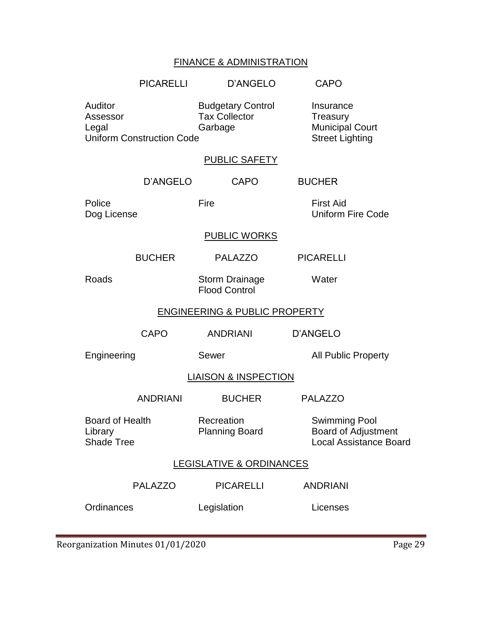# FINANCE & ADMINISTRATION

|                                                                                                                                 | <b>PICARELLI</b> | D'ANGELO                                                                  | <b>CAPO</b>                                                                  |
|---------------------------------------------------------------------------------------------------------------------------------|------------------|---------------------------------------------------------------------------|------------------------------------------------------------------------------|
| Auditor<br><b>Budgetary Control</b><br><b>Tax Collector</b><br>Assessor<br>Garbage<br>Legal<br><b>Uniform Construction Code</b> |                  | Insurance<br>Treasury<br><b>Municipal Court</b><br><b>Street Lighting</b> |                                                                              |
|                                                                                                                                 |                  | PUBLIC SAFETY                                                             |                                                                              |
|                                                                                                                                 | D'ANGELO         | <b>CAPO</b>                                                               | <b>BUCHER</b>                                                                |
| Police<br>Dog License                                                                                                           |                  | Fire                                                                      | <b>First Aid</b><br><b>Uniform Fire Code</b>                                 |
|                                                                                                                                 |                  | <b>PUBLIC WORKS</b>                                                       |                                                                              |
|                                                                                                                                 | <b>BUCHER</b>    | <b>PALAZZO</b>                                                            | <b>PICARELLI</b>                                                             |
| Roads                                                                                                                           |                  | <b>Storm Drainage</b><br><b>Flood Control</b>                             | Water                                                                        |
| <b>ENGINEERING &amp; PUBLIC PROPERTY</b>                                                                                        |                  |                                                                           |                                                                              |
|                                                                                                                                 | <b>CAPO</b>      | <b>ANDRIANI</b>                                                           | <b>D'ANGELO</b>                                                              |
| Engineering                                                                                                                     |                  | Sewer                                                                     | <b>All Public Property</b>                                                   |
| <b>LIAISON &amp; INSPECTION</b>                                                                                                 |                  |                                                                           |                                                                              |
|                                                                                                                                 | <b>ANDRIANI</b>  | <b>BUCHER</b>                                                             | <b>PALAZZO</b>                                                               |
| <b>Board of Health</b><br>Library<br><b>Shade Tree</b>                                                                          |                  | Recreation<br><b>Planning Board</b>                                       | <b>Swimming Pool</b><br>Board of Adjustment<br><b>Local Assistance Board</b> |
| <b>LEGISLATIVE &amp; ORDINANCES</b>                                                                                             |                  |                                                                           |                                                                              |
|                                                                                                                                 | <b>PALAZZO</b>   | <b>PICARELLI</b>                                                          | <b>ANDRIANI</b>                                                              |
| Ordinances                                                                                                                      |                  | Legislation                                                               | Licenses                                                                     |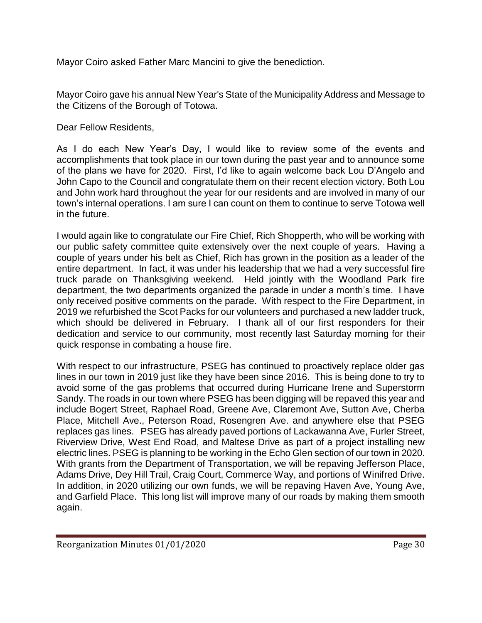Mayor Coiro asked Father Marc Mancini to give the benediction.

Mayor Coiro gave his annual New Year's State of the Municipality Address and Message to the Citizens of the Borough of Totowa.

Dear Fellow Residents,

As I do each New Year's Day, I would like to review some of the events and accomplishments that took place in our town during the past year and to announce some of the plans we have for 2020. First, I'd like to again welcome back Lou D'Angelo and John Capo to the Council and congratulate them on their recent election victory. Both Lou and John work hard throughout the year for our residents and are involved in many of our town's internal operations. I am sure I can count on them to continue to serve Totowa well in the future.

I would again like to congratulate our Fire Chief, Rich Shopperth, who will be working with our public safety committee quite extensively over the next couple of years. Having a couple of years under his belt as Chief, Rich has grown in the position as a leader of the entire department. In fact, it was under his leadership that we had a very successful fire truck parade on Thanksgiving weekend. Held jointly with the Woodland Park fire department, the two departments organized the parade in under a month's time. I have only received positive comments on the parade. With respect to the Fire Department, in 2019 we refurbished the Scot Packs for our volunteers and purchased a new ladder truck, which should be delivered in February. I thank all of our first responders for their dedication and service to our community, most recently last Saturday morning for their quick response in combating a house fire.

With respect to our infrastructure, PSEG has continued to proactively replace older gas lines in our town in 2019 just like they have been since 2016. This is being done to try to avoid some of the gas problems that occurred during Hurricane Irene and Superstorm Sandy. The roads in our town where PSEG has been digging will be repaved this year and include Bogert Street, Raphael Road, Greene Ave, Claremont Ave, Sutton Ave, Cherba Place, Mitchell Ave., Peterson Road, Rosengren Ave. and anywhere else that PSEG replaces gas lines. PSEG has already paved portions of Lackawanna Ave, Furler Street, Riverview Drive, West End Road, and Maltese Drive as part of a project installing new electric lines. PSEG is planning to be working in the Echo Glen section of our town in 2020. With grants from the Department of Transportation, we will be repaving Jefferson Place, Adams Drive, Dey Hill Trail, Craig Court, Commerce Way, and portions of Winifred Drive. In addition, in 2020 utilizing our own funds, we will be repaving Haven Ave, Young Ave, and Garfield Place. This long list will improve many of our roads by making them smooth again.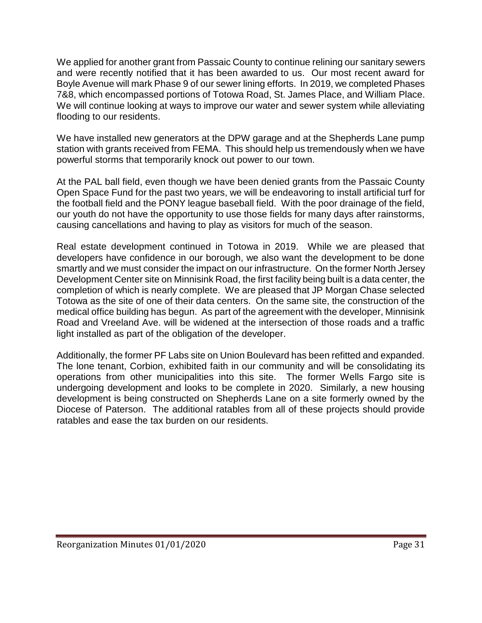We applied for another grant from Passaic County to continue relining our sanitary sewers and were recently notified that it has been awarded to us. Our most recent award for Boyle Avenue will mark Phase 9 of our sewer lining efforts. In 2019, we completed Phases 7&8, which encompassed portions of Totowa Road, St. James Place, and William Place. We will continue looking at ways to improve our water and sewer system while alleviating flooding to our residents.

We have installed new generators at the DPW garage and at the Shepherds Lane pump station with grants received from FEMA. This should help us tremendously when we have powerful storms that temporarily knock out power to our town.

At the PAL ball field, even though we have been denied grants from the Passaic County Open Space Fund for the past two years, we will be endeavoring to install artificial turf for the football field and the PONY league baseball field. With the poor drainage of the field, our youth do not have the opportunity to use those fields for many days after rainstorms, causing cancellations and having to play as visitors for much of the season.

Real estate development continued in Totowa in 2019. While we are pleased that developers have confidence in our borough, we also want the development to be done smartly and we must consider the impact on our infrastructure. On the former North Jersey Development Center site on Minnisink Road, the first facility being built is a data center, the completion of which is nearly complete. We are pleased that JP Morgan Chase selected Totowa as the site of one of their data centers. On the same site, the construction of the medical office building has begun. As part of the agreement with the developer, Minnisink Road and Vreeland Ave. will be widened at the intersection of those roads and a traffic light installed as part of the obligation of the developer.

Additionally, the former PF Labs site on Union Boulevard has been refitted and expanded. The lone tenant, Corbion, exhibited faith in our community and will be consolidating its operations from other municipalities into this site. The former Wells Fargo site is undergoing development and looks to be complete in 2020. Similarly, a new housing development is being constructed on Shepherds Lane on a site formerly owned by the Diocese of Paterson. The additional ratables from all of these projects should provide ratables and ease the tax burden on our residents.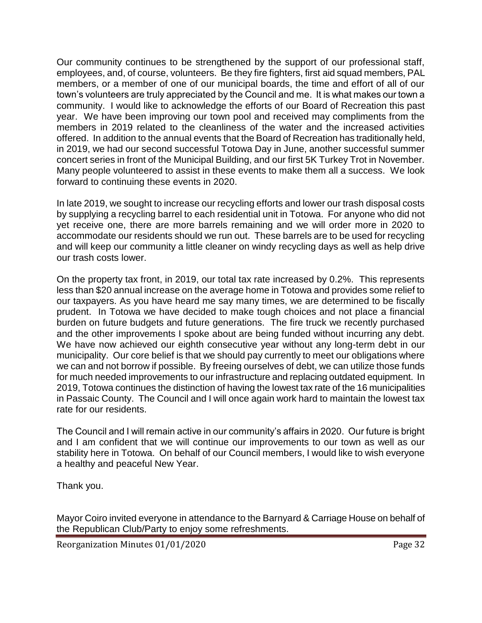Our community continues to be strengthened by the support of our professional staff, employees, and, of course, volunteers. Be they fire fighters, first aid squad members, PAL members, or a member of one of our municipal boards, the time and effort of all of our town's volunteers are truly appreciated by the Council and me. It is what makes our town a community. I would like to acknowledge the efforts of our Board of Recreation this past year. We have been improving our town pool and received may compliments from the members in 2019 related to the cleanliness of the water and the increased activities offered. In addition to the annual events that the Board of Recreation has traditionally held, in 2019, we had our second successful Totowa Day in June, another successful summer concert series in front of the Municipal Building, and our first 5K Turkey Trot in November. Many people volunteered to assist in these events to make them all a success. We look forward to continuing these events in 2020.

In late 2019, we sought to increase our recycling efforts and lower our trash disposal costs by supplying a recycling barrel to each residential unit in Totowa. For anyone who did not yet receive one, there are more barrels remaining and we will order more in 2020 to accommodate our residents should we run out. These barrels are to be used for recycling and will keep our community a little cleaner on windy recycling days as well as help drive our trash costs lower.

On the property tax front, in 2019, our total tax rate increased by 0.2%. This represents less than \$20 annual increase on the average home in Totowa and provides some relief to our taxpayers. As you have heard me say many times, we are determined to be fiscally prudent. In Totowa we have decided to make tough choices and not place a financial burden on future budgets and future generations. The fire truck we recently purchased and the other improvements I spoke about are being funded without incurring any debt. We have now achieved our eighth consecutive year without any long-term debt in our municipality. Our core belief is that we should pay currently to meet our obligations where we can and not borrow if possible. By freeing ourselves of debt, we can utilize those funds for much needed improvements to our infrastructure and replacing outdated equipment. In 2019, Totowa continues the distinction of having the lowest tax rate of the 16 municipalities in Passaic County. The Council and I will once again work hard to maintain the lowest tax rate for our residents.

The Council and I will remain active in our community's affairs in 2020. Our future is bright and I am confident that we will continue our improvements to our town as well as our stability here in Totowa. On behalf of our Council members, I would like to wish everyone a healthy and peaceful New Year.

Thank you.

Mayor Coiro invited everyone in attendance to the Barnyard & Carriage House on behalf of the Republican Club/Party to enjoy some refreshments.

Reorganization Minutes 01/01/2020